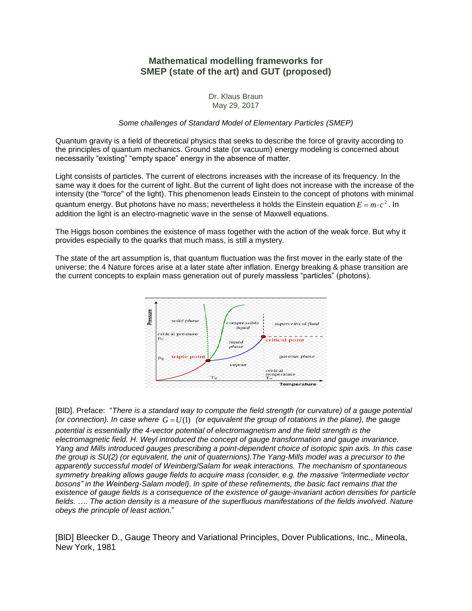## **Mathematical modelling frameworks for SMEP (state of the art) and GUT (proposed)**

## Dr. Klaus Braun May 29, 2017

## *Some challenges of Standard Model of Elementary Particles (SMEP)*

Quantum gravity is a field of theoretical physics that seeks to describe the force of gravity according to the principles of quantum mechanics. Ground state (or vacuum) energy modeling is concerned about necessarily "existing" "empty space" energy in the absence of matter.

Light consists of particles. The current of electrons increases with the increase of its frequency. In the same way it does for the current of light. But the current of light does not increase with the increase of the intensity (the "force" of the light). This phenomenon leads Einstein to the concept of photons with minimal quantum energy. But photons have no mass; nevertheless it holds the Einstein equation  $E = m \cdot c^2$  . In addition the light is an electro-magnetic wave in the sense of Maxwell equations.

The Higgs boson combines the existence of mass together with the action of the weak force. But why it provides especially to the quarks that much mass, is still a mystery.

The state of the art assumption is, that quantum fluctuation was the first mover in the early state of the universe; the 4 Nature forces arise at a later state after inflation. Energy breaking & phase transition are the current concepts to explain mass generation out of purely massless "particles" (photons).



[BlD]. Preface: "*There is a standard way to compute the field strength (or curvature) of a gauge potential*  (or connection). In case where  $G = U(1)$  (or equivalent the group of rotations in the plane), the gauge *potential is essentially the 4-vector potential of electromagnetism and the field strength is the electromagnetic field. H. Weyl introduced the concept of gauge transformation and gauge invariance. Yang and Mills introduced gauges prescribing a point-dependent choice of isotopic spin axis. In this case the group is SU(2) (or equivalent, the unit of quaternions).The Yang-Mills model was a precursor to the apparently successful model of Weinberg/Salam for weak interactions. The mechanism of spontaneous symmetry breaking allows gauge fields to acquire mass (consider, e.g. the massive "intermediate vector bosons" in the Weinberg-Salam model). In spite of these refinements, the basic fact remains that the existence of gauge fields is a consequence of the existence of gauge-invariant action densities for particle fields. …. The action density is a measure of the superfluous manifestations of the fields involved. Nature obeys the principle of least action.*"

[BlD] Bleecker D., Gauge Theory and Variational Principles, Dover Publications, Inc., Mineola, New York, 1981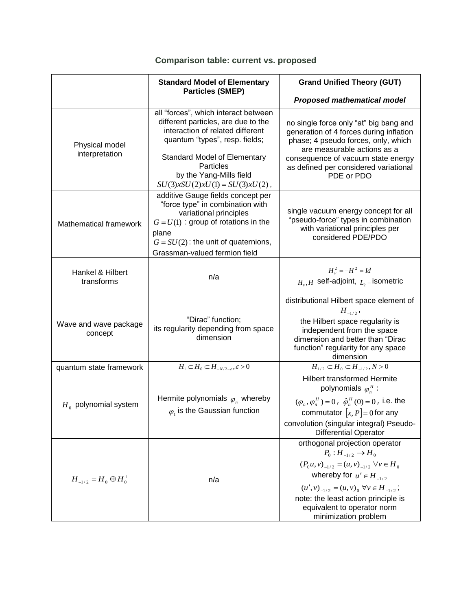|                                     | <b>Standard Model of Elementary</b>                                                                                                                                                                                                                                   | <b>Grand Unified Theory (GUT)</b>                                                                                                                                                                                                                                                                          |
|-------------------------------------|-----------------------------------------------------------------------------------------------------------------------------------------------------------------------------------------------------------------------------------------------------------------------|------------------------------------------------------------------------------------------------------------------------------------------------------------------------------------------------------------------------------------------------------------------------------------------------------------|
|                                     | <b>Particles (SMEP)</b>                                                                                                                                                                                                                                               |                                                                                                                                                                                                                                                                                                            |
|                                     |                                                                                                                                                                                                                                                                       | <b>Proposed mathematical model</b>                                                                                                                                                                                                                                                                         |
| Physical model<br>interpretation    | all "forces", which interact between<br>different particles, are due to the<br>interaction of related different<br>quantum "types", resp. fields;<br><b>Standard Model of Elementary</b><br>Particles<br>by the Yang-Mills field<br>$SU(3)xSU(2)xU(1) = SU(3)xU(2)$ , | no single force only "at" big bang and<br>generation of 4 forces during inflation<br>phase; 4 pseudo forces, only, which<br>are measurable actions as a<br>consequence of vacuum state energy<br>as defined per considered variational<br>PDE or PDO                                                       |
| Mathematical framework              | additive Gauge fields concept per<br>"force type" in combination with<br>variational principles<br>$G = U(1)$ : group of rotations in the<br>plane<br>$G = SU(2)$ : the unit of quaternions,<br>Grassman-valued fermion field                                         | single vacuum energy concept for all<br>"pseudo-force" types in combination<br>with variational principles per<br>considered PDE/PDO                                                                                                                                                                       |
| Hankel & Hilbert<br>transforms      | n/a                                                                                                                                                                                                                                                                   | $H_v^2 = -H^2 = Id$<br>$H_{\nu}$ , H self-adjoint, $L_{\nu}$ -isometric                                                                                                                                                                                                                                    |
| Wave and wave package<br>concept    | "Dirac" function;<br>its regularity depending from space<br>dimension                                                                                                                                                                                                 | distributional Hilbert space element of<br>$H_{-1/2}$ ,<br>the Hilbert space regularity is<br>independent from the space<br>dimension and better than "Dirac<br>function" regularity for any space<br>dimension                                                                                            |
| quantum state framework             | $H_1 \subset H_0 \subset H_{-N/2-\varepsilon}, \varepsilon > 0$                                                                                                                                                                                                       | $H_{1/2} \subset H_0 \subset H_{-1/2}, N>0$                                                                                                                                                                                                                                                                |
| $H0$ polynomial system              | Hermite polynomials $\varphi_n$ whereby<br>$\varphi_1$ is the Gaussian function                                                                                                                                                                                       | <b>Hilbert transformed Hermite</b><br>polynomials $\varphi_n^H$ :<br>$(\varphi_n, \varphi_n^H) = 0$ , $\hat{\varphi}_n^H(0) = 0$ , i.e. the<br>commutator $[x, P] = 0$ for any<br>convolution (singular integral) Pseudo-<br><b>Differential Operator</b>                                                  |
| $H_{-1/2} = H_0 \oplus H_0^{\perp}$ | n/a                                                                                                                                                                                                                                                                   | orthogonal projection operator<br>$P_0: H_{-1/2} \to H_0$<br>$(P_0u, v)_{-1/2} = (u, v)_{-1/2} \forall v \in H_0$<br>whereby for $u' \in H_{-1/2}$<br>$(u', v)_{-1/2} = (u, v)_0 \,\forall v \in H_{-1/2}$ ;<br>note: the least action principle is<br>equivalent to operator norm<br>minimization problem |

# **Comparison table: current vs. proposed**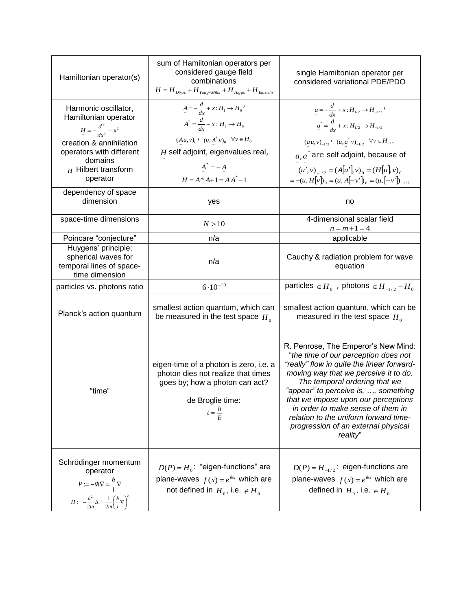| Hamiltonian operator(s)                                                                                                                                                               | sum of Hamiltonian operators per<br>considered gauge field<br>combinations<br>$H = H_{Dirac} + H_{Yang-Mills} + H_{Higgs} + H_{Einstein}$                                                                                                 | single Hamiltonian operator per<br>considered variational PDE/PDO                                                                                                                                                                                                                                                                                                                                                   |
|---------------------------------------------------------------------------------------------------------------------------------------------------------------------------------------|-------------------------------------------------------------------------------------------------------------------------------------------------------------------------------------------------------------------------------------------|---------------------------------------------------------------------------------------------------------------------------------------------------------------------------------------------------------------------------------------------------------------------------------------------------------------------------------------------------------------------------------------------------------------------|
| Harmonic oscillator,<br>Hamiltonian operator<br>$H = -\frac{d^2}{dx^2} + x^2$<br>creation & annihilation<br>operators with different<br>domains<br>$_H$ Hilbert transform<br>operator | $A=-\frac{d}{dx}+x:H_1\rightarrow H_0'$<br>$A^* = \frac{d}{dx} + x : H_1 \to H_0$<br>$(Au,v)_0$ <sup><i>r</i></sup> $(u, A^*v)_0$ $\forall v \in H_0$<br>$H$ self adjoint, eigenvalues real,<br>$A^* = -A$<br>$H = A^* A + 1 = A A^* - 1$ | $a = -\frac{d}{dx} + x : H_{1/2} \rightarrow H_{-1/2}$<br>$a^* = \frac{d}{dx} + x : H_{1/2} \rightarrow H_{-1/2}$<br>$(au, v)_{-1/2}$ ' $(u, a^* v)_{-1/2}$ $\forall v \in H_{-1/2}$<br>$a, a^*$ are self adjoint, because of<br>$(u', v)_{-1/2} = (A[u'], v)_{0} = (H[u], v)_{0}$<br>$=-(u,H[v])_0=(u,A[-v'])_0=(u,[-v'])_{-1/2}$                                                                                  |
| dependency of space<br>dimension                                                                                                                                                      | yes                                                                                                                                                                                                                                       | no                                                                                                                                                                                                                                                                                                                                                                                                                  |
| space-time dimensions                                                                                                                                                                 | N > 10                                                                                                                                                                                                                                    | 4-dimensional scalar field<br>$n = m + 1 = 4$                                                                                                                                                                                                                                                                                                                                                                       |
| Poincare "conjecture"                                                                                                                                                                 | n/a                                                                                                                                                                                                                                       | applicable                                                                                                                                                                                                                                                                                                                                                                                                          |
| Huygens' principle;<br>spherical waves for<br>temporal lines of space-<br>time dimension                                                                                              | n/a                                                                                                                                                                                                                                       | Cauchy & radiation problem for wave<br>equation                                                                                                                                                                                                                                                                                                                                                                     |
| particles vs. photons ratio                                                                                                                                                           | $6.10^{-10}$                                                                                                                                                                                                                              | particles $\in$ $H_0$ , photons $\in$ $H_{-1/2}$ - $H_0$                                                                                                                                                                                                                                                                                                                                                            |
| Planck's action quantum                                                                                                                                                               | smallest action quantum, which can<br>be measured in the test space $H_0$                                                                                                                                                                 | smallest action quantum, which can be<br>measured in the test space $H_0$                                                                                                                                                                                                                                                                                                                                           |
| "time"                                                                                                                                                                                | eigen-time of a photon is zero, i.e. a<br>photon dies not realize that times<br>goes by; how a photon can act?<br>de Broglie time:<br>$t = \frac{h}{F}$                                                                                   | R. Penrose, The Emperor's New Mind:<br>"the time of our perception does not<br>"really" flow in quite the linear forward-<br>moving way that we perceive it to do.<br>The temporal ordering that we<br>"appear" to perceive is, , something<br>that we impose upon our perceptions<br>in order to make sense of them in<br>relation to the uniform forward time-<br>progression of an external physical<br>reality" |
| Schrödinger momentum<br>operator<br>$P = -i\hbar \nabla = \frac{\hbar}{i} \nabla$<br>$H := -\frac{\hbar^2}{2m} \Delta = \frac{1}{2m} \left(\frac{\hbar}{i} \nabla\right)^2$           | $D(P) = H_0$ : "eigen-functions" are<br>plane-waves $f(x) = e^{ikx}$ which are<br>not defined in $H_0$ , i.e. $\notin H_0$                                                                                                                | $D(P) = H_{-1/2}$ : eigen-functions are<br>plane-waves $f(x) = e^{ikx}$ which are<br>defined in $H_0$ , i.e. $\in$ $H_0$                                                                                                                                                                                                                                                                                            |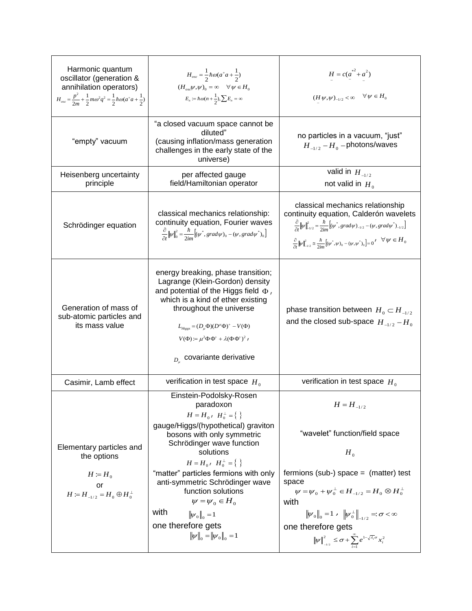| Harmonic quantum<br>oscillator (generation &<br>annihilation operators)<br>$H_{osc} = \frac{p^2}{2m} + \frac{1}{2} m \omega^2 q^2 = \frac{1}{2} \hbar \omega (a^* a + \frac{1}{2})$ | $H_{osc} = \frac{1}{2} \hbar \omega (a^+ a + \frac{1}{2})$<br>$(H_{osc}\psi,\psi)_0 = \infty \quad \forall \psi \in H_0$<br>$E_n := \hbar \omega (n + \frac{1}{2}), \sum E_n = \infty$                                                                                                                                                                                                                                                                    | $H = c(a^{*2} + a^2)$<br>$(H\psi,\psi)_{-1/2}<\infty\quad \forall\, \psi\in H_0$                                                                                                                                                                                                                                                                                                                     |
|-------------------------------------------------------------------------------------------------------------------------------------------------------------------------------------|-----------------------------------------------------------------------------------------------------------------------------------------------------------------------------------------------------------------------------------------------------------------------------------------------------------------------------------------------------------------------------------------------------------------------------------------------------------|------------------------------------------------------------------------------------------------------------------------------------------------------------------------------------------------------------------------------------------------------------------------------------------------------------------------------------------------------------------------------------------------------|
| "empty" vacuum                                                                                                                                                                      | "a closed vacuum space cannot be<br>diluted"<br>(causing inflation/mass generation<br>challenges in the early state of the<br>universe)                                                                                                                                                                                                                                                                                                                   | no particles in a vacuum, "just"<br>$H_{-1/2} - H_0$ -photons/waves                                                                                                                                                                                                                                                                                                                                  |
| Heisenberg uncertainty<br>principle                                                                                                                                                 | per affected gauge<br>field/Hamiltonian operator                                                                                                                                                                                                                                                                                                                                                                                                          | valid in $H_{-1/2}$<br>not valid in $H_0$                                                                                                                                                                                                                                                                                                                                                            |
| Schrödinger equation                                                                                                                                                                | classical mechanics relationship:<br>continuity equation, Fourier waves<br>$\frac{\partial}{\partial t}   \psi  _0^2 = \frac{\hbar}{2im} \Big[ (\psi^*, grad \psi)_0 - (\psi, grad \psi^*)_0 \Big]$                                                                                                                                                                                                                                                       | classical mechanics relationship<br>continuity equation, Calderón wavelets<br>$\frac{\partial}{\partial t}   \psi  _{-1/2}^2 = \frac{\hbar}{2im} [(\psi^*, grad \psi)_{-1/2} - (\psi, grad \psi^*)_{-1/2}]$<br>$\frac{\partial}{\partial t}   \psi  _{-1/2}^2 \cong \frac{\hbar}{2im} [(\psi^*, \psi)_0 - (\psi, \psi^*)_0] = 0' \quad \forall \psi \in H_0$                                         |
| Generation of mass of<br>sub-atomic particles and<br>its mass value                                                                                                                 | energy breaking, phase transition;<br>Lagrange (Klein-Gordon) density<br>and potential of the Higgs field $\Phi$ ,<br>which is a kind of ether existing<br>throughout the universe<br>$L_{Higgs} = (D_{\mu} \Phi)(D^{\mu} \Phi)^{+} - V(\Phi)$<br>$V(\Phi) := \mu^2 \Phi \Phi^+ + \lambda (\Phi \Phi^+)^2$<br>$_{D_u}$ covariante derivative                                                                                                              | phase transition between $H_0 \subset H_{-1/2}$<br>and the closed sub-space $H_{-1/2} - H_0$                                                                                                                                                                                                                                                                                                         |
| Casimir, Lamb effect                                                                                                                                                                | verification in test space $H_0$                                                                                                                                                                                                                                                                                                                                                                                                                          | verification in test space $H_0$                                                                                                                                                                                                                                                                                                                                                                     |
| Elementary particles and<br>the options<br>$H \coloneqq H_0$<br>or<br>$H := H_{-1/2} = H_0 \oplus H_0^{\perp}$                                                                      | Einstein-Podolsky-Rosen<br>paradoxon<br>$H = H_0$ , $H_0^{\perp} = \{ \}$<br>gauge/Higgs/(hypothetical) graviton<br>bosons with only symmetric<br>Schrödinger wave function<br>solutions<br>$H = H_0$ , $H_0^{\perp} = \{ \}$<br>"matter" particles fermions with only<br>anti-symmetric Schrödinger wave<br>function solutions<br>$\psi = \psi_0 \in H_0$<br>with<br>$\ \psi_0\ _{0} = 1$<br>one therefore gets<br>$\ \psi\ _{0} = \ \psi_{0}\ _{0} = 1$ | $H = H_{-1/2}$<br>"wavelet" function/field space<br>$H_0$<br>fermions (sub-) space = $(matter)$ test<br>space<br>$\psi = \psi_0 + \psi_0^{\perp} \in H_{-1/2} = H_0 \otimes H_0^{\perp}$<br>with<br>$\ \psi_0\ _0 = 1$ , $\ \psi_0^{\perp}\ _{-1/2} =: \sigma < \infty$<br>one therefore gets<br>$\ \psi\ ^2_{\mathbb{L}_{1/2}} \leq \sigma + \sum_{i=1}^{\infty} e^{1-\sqrt{\lambda_i}\sigma}x_i^2$ |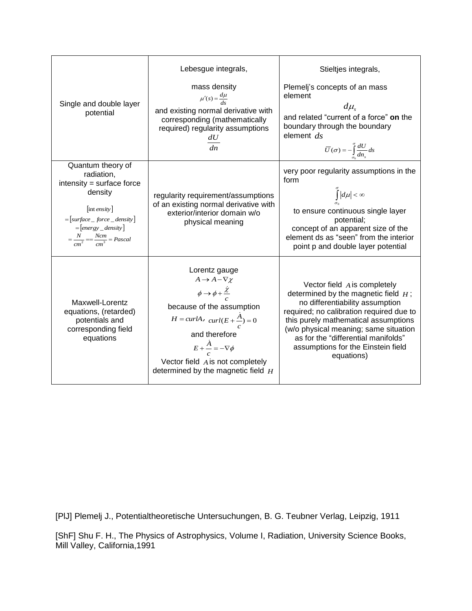| Single and double layer<br>potential                                                                                                                                                                   | Lebesgue integrals,<br>mass density<br>$\mu'(s) = \frac{d\mu}{ds}$<br>and existing normal derivative with<br>corresponding (mathematically<br>required) regularity assumptions<br>$\frac{dU}{dn}$                                                                                                                      | Stieltjes integrals,<br>Plemelj's concepts of an mass<br>element<br>$d\mu_{\rm s}$<br>and related "current of a force" on the<br>boundary through the boundary<br>element $ds$<br>$\overline{U}(\sigma) = -\int_{\sigma_0}^{\sigma} \frac{dU}{dn_s} ds$                                                                             |
|--------------------------------------------------------------------------------------------------------------------------------------------------------------------------------------------------------|------------------------------------------------------------------------------------------------------------------------------------------------------------------------------------------------------------------------------------------------------------------------------------------------------------------------|-------------------------------------------------------------------------------------------------------------------------------------------------------------------------------------------------------------------------------------------------------------------------------------------------------------------------------------|
| Quantum theory of<br>radiation,<br>intensity = surface force<br>density<br>$[$ int ensity $]$<br>$=[surface\_force\_density]$<br>$=[energy\_density]$<br>$=\frac{N}{cm^2} = \frac{Ncm}{cm^3} = Pascal$ | regularity requirement/assumptions<br>of an existing normal derivative with<br>exterior/interior domain w/o<br>physical meaning                                                                                                                                                                                        | very poor regularity assumptions in the<br>form<br>$\int_{\sigma_0}$ $ d\mu  < \infty$<br>to ensure continuous single layer<br>potential;<br>concept of an apparent size of the<br>element ds as "seen" from the interior<br>point p and double layer potential                                                                     |
| Maxwell-Lorentz<br>equations, (retarded)<br>potentials and<br>corresponding field<br>equations                                                                                                         | Lorentz gauge<br>$A \rightarrow A - \nabla \chi$<br>$\phi \rightarrow \phi + \frac{\dot{\chi}}{c}$<br>because of the assumption<br>$H = \frac{curl A}{\frac{c}{c} + \frac{A}{c}} = 0$<br>and therefore<br>$E + \frac{A}{a} = -\nabla \phi$<br>Vector field A is not completely<br>determined by the magnetic field $H$ | Vector field $A$ is completely<br>determined by the magnetic field $H$ ;<br>no differentiability assumption<br>required; no calibration required due to<br>this purely mathematical assumptions<br>(w/o physical meaning; same situation<br>as for the "differential manifolds"<br>assumptions for the Einstein field<br>equations) |

[PlJ] Plemelj J., Potentialtheoretische Untersuchungen, B. G. Teubner Verlag, Leipzig, 1911

[ShF] Shu F. H., The Physics of Astrophysics, Volume I, Radiation, University Science Books, Mill Valley, California,1991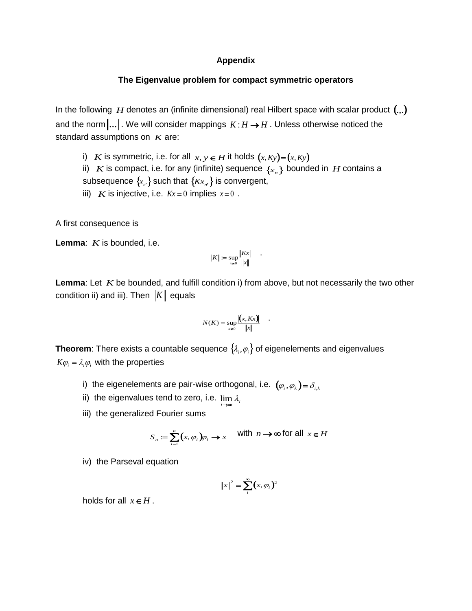## **Appendix**

## **The Eigenvalue problem for compact symmetric operators**

In the following  $H$  denotes an (infinite dimensional) real Hilbert space with scalar product  $(.,.)$ and the norm $\|...\|$  . We will consider mappings  $\,K\!:\!H\!\rightarrow\! H$  . Unless otherwise noticed the standard assumptions on *K* are:

- i) *K* is symmetric, i.e. for all  $x, y \in H$  it holds  $(x, Ky) = (x, Ky)$
- ii)  $K$  is compact, i.e. for any (infinite) sequence  $\{x_n\}$  bounded in  $H$  contains a subsequence  $\{_{\mathcal{X}_{n'}}\}$  such that  $\{_{K\mathcal{X}_{n'}}\}$  is convergent,
- iii) *K* is injective, i.e.  $Kx = 0$  implies  $x=0$ .

A first consequence is

**Lemma**: *K* is bounded, i.e.

$$
||K|| := \sup_{x \neq 0} \frac{||Kx||}{||x||} \qquad \qquad
$$

Lemma: Let K be bounded, and fulfill condition i) from above, but not necessarily the two other condition ii) and iii). Then  $\|K\|$  equals

$$
N(K) = \sup_{x \neq 0} \frac{|(x, Kx)|}{\|x\|} .
$$

**Theorem**: There exists a countable sequence  $\{\lambda_i, \varphi_i\}$  of eigenelements and eigenvalues  $K\varphi$ <sub>*i*</sub> =  $\lambda$ <sub>*i*</sub> $\varphi$ <sub>*i*</sub> with the properties

- i) the eigenelements are pair-wise orthogonal, i.e.  $(\varphi_{i},\varphi_{k})$ =  $\delta_{i,k}$
- ii) the eigenvalues tend to zero, i.e.  $\lim\limits_{i\rightarrow\infty}\lambda_i$
- iii) the generalized Fourier sums

$$
S_n := \sum_{i=1}^n (x, \varphi_i) \varphi_i \to x \quad \text{with } n \to \infty \text{ for all } x \in H
$$

iv) the Parseval equation

$$
||x||^2 = \sum_i^{\infty} (x, \varphi_i)^2
$$

holds for all  $x \in H$ .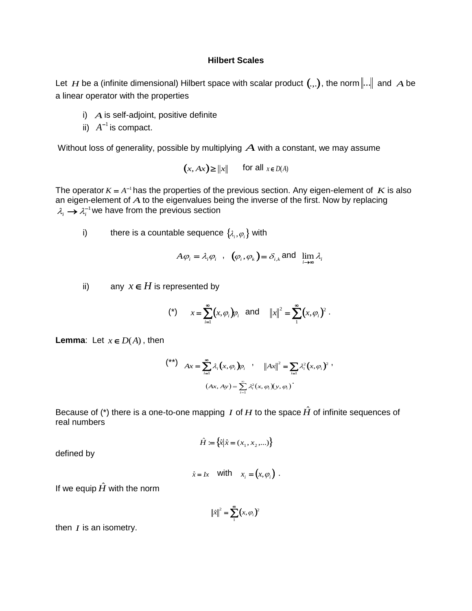## **Hilbert Scales**

Let  $H$  be a (infinite dimensional) Hilbert space with scalar product  $(.,.)$ , the norm $\|...\|$  and  $A$  be a linear operator with the properties

- i) *A* is self-adjoint, positive definite
- ii)  $A^{-1}$  is compact.

Without loss of generality, possible by multiplying  $\boldsymbol{A}$  with a constant, we may assume

$$
(x, Ax) \ge ||x||
$$
 for all  $x \in D(A)$ 

The operator  $K = A^{-1}$  has the properties of the previous section. Any eigen-element of  $K$  is also an eigen-element of *A* to the eigenvalues being the inverse of the first. Now by replacing  $\lambda_i \rightarrow \lambda_i^{-1}$  we have from the previous section

i) there is a countable sequence  $\{\lambda_{_i}, \varphi_{_i}\}$  with

$$
A\varphi_i = \lambda_i \varphi_i
$$
,  $(\varphi_i, \varphi_k) = \delta_{i,k}$  and  $\lim_{i \to \infty} \lambda_i$ 

ii) any  $x \in H$  is represented by

(\*) 
$$
x = \sum_{i=1}^{\infty} (x, \varphi_i) \varphi_i
$$
 and  $||x||^2 = \sum_{i=1}^{\infty} (x, \varphi_i)^2$ .

**Lemma:** Let  $x \in D(A)$ , then

$$
\begin{aligned}\n\binom{**}{\ast} \quad & Ax = \sum_{i=1}^{\infty} \lambda_i \big( x, \varphi_i \big) \varphi_i \quad , \quad \left\| Ax \right\|^2 = \sum_{i=1}^{\infty} \lambda_i^2 \big( x, \varphi_i \big)^2 \; , \\
& \quad \left( Ax, Ay \right) = \sum_{i=1}^{\infty} \lambda_i^2 \big( x, \varphi_i \big) \big( y, \varphi_i \big)^2\n\end{aligned}
$$

Because of (\*) there is a one-to-one mapping *I* of *H* to the space  $\hat{H}$  of infinite sequences of real numbers

$$
\hat{H} := \{ \hat{x} | \hat{x} = (x_1, x_2, \ldots) \}
$$

defined by

$$
\hat{x} = Ix \quad \text{with} \quad x_i = (x, \varphi_i) \ .
$$

If we equip  $\hat{H}$  with the norm

$$
\|\hat{x}\|^2 = \sum_{i=1}^{\infty} (x, \varphi_i)^2
$$

then  $I$  is an isometry.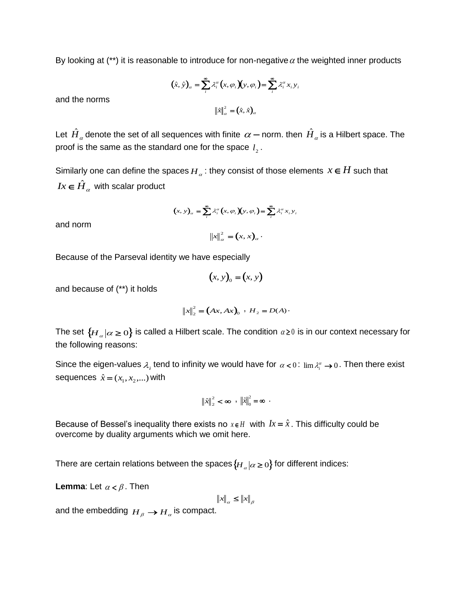By looking at (\*\*) it is reasonable to introduce for non-negative  $\alpha$  the weighted inner products

$$
(\hat{x}, \hat{y})_{\alpha} = \sum_{i}^{\infty} \lambda_i^{\alpha} (x, \varphi_i)(y, \varphi_i) = \sum_{i}^{\infty} \lambda_i^{\alpha} x_i y_i
$$

and the norms

$$
\left\|\hat{x}\right\|_{\alpha}^{2} = (\hat{x}, \hat{x})_{\alpha}
$$

Let  $\hat{H}_\alpha$  denote the set of all sequences with finite  $\,\alpha-$  norm. then  $\hat{H}_\alpha$  is a Hilbert space. The proof is the same as the standard one for the space  $\mathit{l}_2^{}$  .

Similarly one can define the spaces  $H_a$ : they consist of those elements  $x \in H$  such that  $Ix \in \hat{H}_{\alpha}$  with scalar product

$$
(x, y)_\alpha = \sum_i^{\infty} \lambda_i^{\alpha} (x, \varphi_i)(y, \varphi_i) = \sum_i^{\infty} \lambda_i^{\alpha} x_i y_i
$$

 $x\|_{\alpha}^{2} = (x, x)_{\alpha}$ .

and norm

Because of the Parseval identity we have especially

 $(x, y)_{0} = (x, y)$ 

and because of (\*\*) it holds

$$
||x||_2^2 = (Ax, Ax)_0 \, , \, H_2 = D(A) \cdot
$$

The set  $\{H_\alpha|\alpha\geq 0\}$  is called a Hilbert scale. The condition  $\alpha$  ≥0 is in our context necessary for the following reasons:

Since the eigen-values  $\lambda_i$  tend to infinity we would have for  $\alpha < 0$ :  $\lim \lambda_i^{\alpha} \to 0$ . Then there exist sequences  $\hat{x} = (x_1, x_2, ...)$  with

$$
\left\|\hat{x}\right\|_{2}^{2} < \infty , \quad \left\|\hat{x}\right\|_{0}^{2} = \infty .
$$

Because of Bessel's inequality there exists no  $x \in H$  with  $Ix = \hat{x}$ . This difficulty could be overcome by duality arguments which we omit here.

There are certain relations between the spaces $\{H_{_{\alpha}} | \alpha\geq 0\}$  for different indices:

**Lemma**: Let  $\alpha < \beta$ . Then

 $\left\|x\right\|_{\alpha} \leq \left\|x\right\|_{\beta}$ 

and the embedding  $\overline{H}_{\overline{\rho}} \to \overline{H}_{\alpha}$  is compact.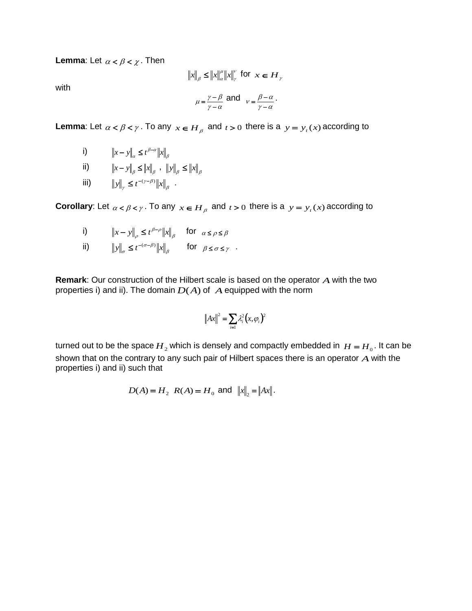**Lemma**: Let  $\alpha < \beta < \chi$  . Then

$$
||x||_{\beta} \le ||x||_{\alpha}^{u} ||x||_{\gamma}^{v} \text{ for } x \in H_{\gamma}
$$
  

$$
\mu = \frac{\gamma - \beta}{\gamma - \alpha} \text{ and } v = \frac{\beta - \alpha}{\gamma - \alpha}.
$$

with

**Lemma**: Let  $\alpha < \beta < \gamma$ . To any  $x \in H_\beta$  and  $t > 0$  there is a  $y = y_t(x)$  according to

i) 
$$
\|x - y\|_{\alpha} \le t^{\beta - \alpha} \|x\|_{\beta}
$$
  
\nii) 
$$
\|x - y\|_{\beta} \le \|x\|_{\beta} , \quad \|y\|_{\beta} \le \|x\|_{\beta}
$$
  
\niii) 
$$
\|y\|_{\gamma} \le t^{-(\gamma - \beta)} \|x\|_{\beta} .
$$

**Corollary**: Let  $\alpha < \beta < \gamma$ . To any  $x \in H_\beta$  and  $t > 0$  there is a  $y = y_t(x)$  according to

i) 
$$
\|x - y\|_{\rho} \le t^{\beta - \rho} \|x\|_{\beta} \quad \text{for } \alpha \le \rho \le \beta
$$

ii) β  $\|y\|_{\sigma} \leq t^{-(\sigma-\beta)} \|x\|_{\beta}$  for  $\beta \leq \sigma \leq \gamma$ 

**Remark**: Our construction of the Hilbert scale is based on the operator *A* with the two properties i) and ii). The domain  $D(A)$  of  $A$  equipped with the norm

$$
\left\|Ax\right\|^2 = \sum_{i=1} \lambda_i^2 \left(x, \varphi_i\right)^2
$$

turned out to be the space  $H_2$  which is densely and compactly embedded in  $H = H_0$ . It can be shown that on the contrary to any such pair of Hilbert spaces there is an operator *A* with the properties i) and ii) such that

$$
D(A) = H_2
$$
  $R(A) = H_0$  and  $||x||_2 = ||Ax||$ .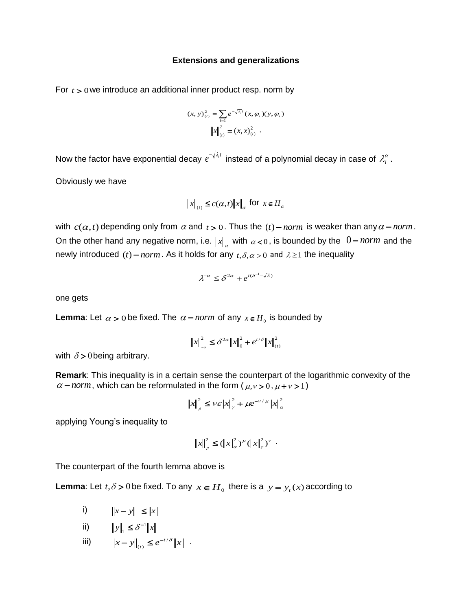#### **Extensions and generalizations**

For  $t > 0$  we introduce an additional inner product resp. norm by

$$
(x, y)(t)2 = \sum_{i=1} e^{-\sqrt{\lambda_i}t} (x, \varphi_i)(y, \varphi_i)
$$

$$
||x||_{(t)}^2 = (x, x)(t)2 .
$$

Now the factor have exponential decay  $e^{-\sqrt{\lambda_i}t}$  instead of a polynomial decay in case of  $\lambda_i^\alpha$  .

Obviously we have

$$
\|x\|_{(t)} \le c(\alpha, t) \|x\|_{\alpha} \text{ for } x \in H_{\alpha}
$$

with  $c(\alpha, t)$  depending only from  $\alpha$  and  $t > 0$ . Thus the  $(t)$  – *norm* is weaker than any  $\alpha$  – *norm*. On the other hand any negative norm, i.e.  $\|x\|_{\alpha}$  with  $\alpha < 0$  , is bounded by the  $\|0 - norm\|$  and the newly introduced  $(t)$  – *norm*. As it holds for any  $t, \delta, \alpha > 0$  and  $\lambda \ge 1$  the inequality

$$
\lambda^{-\alpha} \leq \delta^{2\alpha} + e^{t(\delta^{-1} - \sqrt{\lambda})}
$$

one gets

**Lemma**: Let  $\alpha > 0$  be fixed. The  $\alpha$  – norm of any  $x \in H_0$  is bounded by

$$
\|x\|_{-\alpha}^2 \le \delta^{2\alpha} \|x\|_0^2 + e^{t/\delta} \|x\|_{(t)}^2
$$

with  $\delta$  > 0 being arbitrary.

**Remark**: This inequality is in a certain sense the counterpart of the logarithmic convexity of the  $\alpha$  – *norm*, which can be reformulated in the form ( $\mu$ ,  $\nu$  > 0,  $\mu$  +  $\nu$  > 1)

$$
\|x\|_{\rho}^{2} \leq v\varepsilon \|x\|_{\gamma}^{2} + \mu e^{-v/\mu} \|x\|_{\alpha}^{2}
$$

applying Young's inequality to

$$
||x||_{\rho}^{2} \leq (||x||_{\alpha}^{2})^{\mu} (||x||_{\gamma}^{2})^{\nu} .
$$

The counterpart of the fourth lemma above is

**Lemma**: Let  $t, \delta > 0$  be fixed. To any  $x \in H_0$  there is a  $y = y_t(x)$  according to

i)  $||x - y|| \le ||x||$ 

ii) 
$$
||y||_1 \le \delta^{-1} ||x||
$$

iii)  $||x - y||_{(t)} \leq e^{-t/\delta} ||x|$ *t*  $\sqrt{\delta}$  $(t)$  $- y \|_{(t)} \leq e^{-t/\delta} \|x\|$ .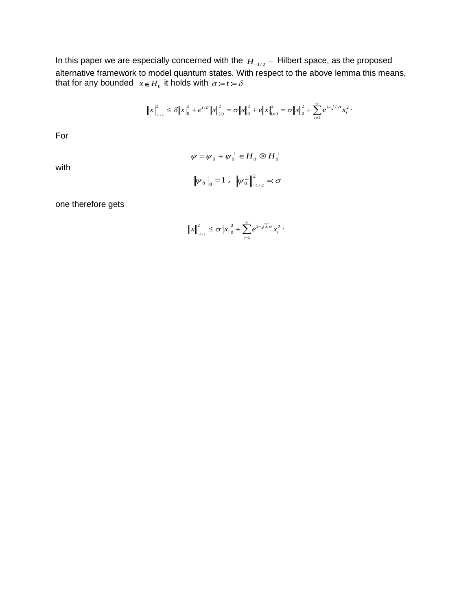In this paper we are especially concerned with the  $H_{\rightarrow/2}$   $-$  Hilbert space, as the proposed alternative framework to model quantum states. With respect to the above lemma this means, that for any bounded  $x \in H_0$  it holds with  $\sigma = t = \delta$ 

$$
\|x\|_{L^{1/2}}^2 \leq \delta \|x\|_0^2 + e^{t/\delta} \|x\|_{L^{1/2}}^2 = \delta \|x\|_0^2 + e \|x\|_{L^{1/2}}^2 = \delta \|x\|_0^2 + \sum_{i=1}^{\infty} e^{1-\sqrt{\lambda_i} \sigma} x_i^2.
$$

For

with

$$
\psi = \psi_0 + \psi_0^{\perp} \in H_0 \otimes H_0^{\perp}
$$

$$
\|\psi_0\|_0 = 1 , \|\psi_0^{\perp}\|_{-1/2}^2 = \sigma
$$

one therefore gets

$$
||x||_{_{-1/2}}^{2} \leq \sigma ||x||_{0}^{2} + \sum_{i=1}^{\infty} e^{1-\sqrt{\lambda_{i}}\sigma}x_{i}^{2}.
$$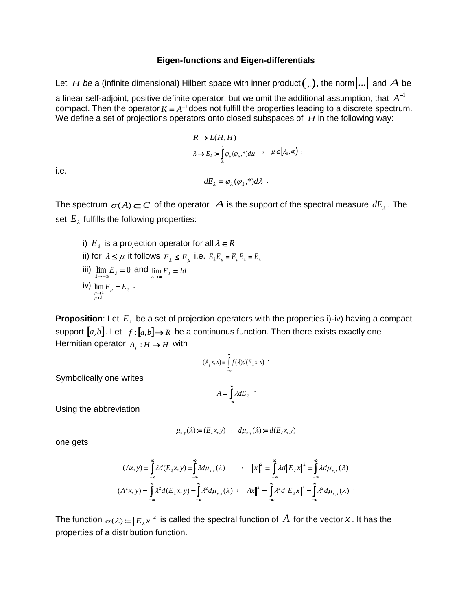#### **Eigen-functions and Eigen-differentials**

Let  $H$  be a (infinite dimensional) Hilbert space with inner product $(.,.)$ , the norm $\|..\|$  and  $A$  be a linear self-adjoint, positive definite operator, but we omit the additional assumption, that  $A^{-1}$ compact. Then the operator  $K = A^{-1}$  does not fulfill the properties leading to a discrete spectrum. We define a set of projections operators onto closed subspaces of  $H$  in the following way:

$$
R \to L(H, H)
$$
  
\n
$$
\lambda \to E_{\lambda} = \int_{\lambda_0}^{\lambda} \varphi_{\mu}(\varphi_{\mu},*) d\mu \quad , \quad \mu \in [\lambda_0, \infty) ,
$$
  
\n
$$
dE_{\lambda} = \varphi_{\lambda}(\varphi_{\lambda},*) d\lambda .
$$

i.e.

The spectrum  $\sigma(A)$   $\subset$   $C$  of the operator  $\vert A \vert$  is the support of the spectral measure  $dE_{_{\lambda}}$  . The set  $E_{\lambda}$  fulfills the following properties:

\n- i) 
$$
E_{\lambda}
$$
 is a projection operator for all  $\lambda \in R$
\n- ii) for  $\lambda \leq \mu$  it follows  $E_{\lambda} \leq E_{\mu}$  i.e.  $E_{\lambda}E_{\mu} = E_{\mu}E_{\lambda} = E_{\lambda}$
\n- iii)  $\lim_{\lambda \to \infty} E_{\lambda} = 0$  and  $\lim_{\lambda \to \infty} E_{\lambda} = Id$
\n- iv)  $\lim_{\mu \to \lambda} E_{\mu} = E_{\lambda}$
\n

**Proposition**: Let  $E_{\lambda}$  be a set of projection operators with the properties i)-iv) having a compact support  $[a,b]$ . Let  $f:[a,b]\rightarrow R$  be a continuous function. Then there exists exactly one Hermitian operator  $A_f : H \to H$  with

$$
(A_j x, x) = \int_{-\infty}^{\infty} f(\lambda) d(E_{\lambda} x, x)
$$

$$
A = \int_{-\infty}^{\infty} \lambda dE_{\lambda}
$$

Symbolically one writes

Using the abbreviation

$$
\mu_{x,y}(\lambda) := (E_{\lambda}x, y) \quad , \quad d\mu_{x,y}(\lambda) := d(E_{\lambda}x, y)
$$

one gets

$$
(Ax, y) = \int_{-\infty}^{\infty} \lambda d(E_{\lambda}x, y) = \int_{-\infty}^{\infty} \lambda d\mu_{x,x}(\lambda) \qquad , \quad ||x||_{1}^{2} = \int_{-\infty}^{\infty} \lambda d||E_{\lambda}x||^{2} = \int_{-\infty}^{\infty} \lambda d\mu_{x,x}(\lambda)
$$

$$
(A^{2}x, y) = \int_{-\infty}^{\infty} \lambda^{2} d(E_{\lambda}x, y) = \int_{-\infty}^{\infty} \lambda^{2} d\mu_{x,x}(\lambda) \qquad , \quad ||Ax||_{2}^{2} = \int_{-\infty}^{\infty} \lambda^{2} d||E_{\lambda}x||^{2} = \int_{-\infty}^{\infty} \lambda^{2} d\mu_{x,x}(\lambda) \qquad .
$$

The function  $\sigma(\lambda)$   $:=$   $\|E_{\lambda}x\|^{2}$  is called the spectral function of  $A$  for the vector  $x$  . It has the properties of a distribution function.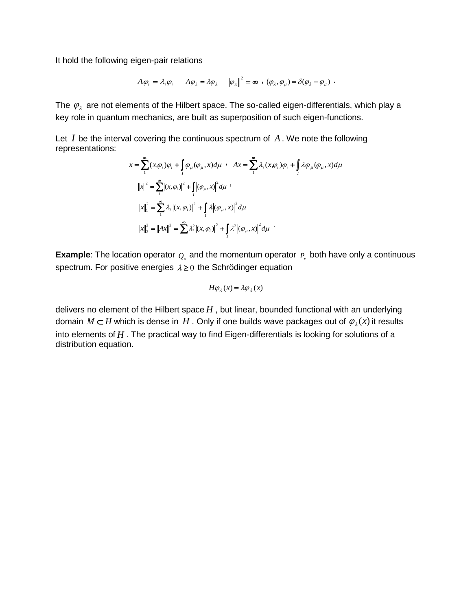It hold the following eigen-pair relations

$$
A\varphi_i = \lambda_i \varphi_i \qquad A\varphi_\lambda = \lambda \varphi_\lambda \qquad \left\|\varphi_\lambda\right\|^2 = \infty \quad , \quad (\varphi_\lambda, \varphi_\mu) = \delta(\varphi_\lambda - \varphi_\mu) \quad .
$$

The  $\,\varphi_{_{\lambda}}\,$  are not elements of the Hilbert space. The so-called eigen-differentials, which play a key role in quantum mechanics, are built as superposition of such eigen-functions.

Let *I* be the interval covering the continuous spectrum of A. We note the following representations:

$$
x = \sum_{1}^{\infty} (x, \varphi_i) \varphi_i + \int_I \varphi_{\mu} (\varphi_{\mu}, x) d\mu \quad A x = \sum_{1}^{\infty} \lambda_i (x, \varphi_i) \varphi_i + \int_I \lambda \varphi_{\mu} (\varphi_{\mu}, x) d\mu
$$
  

$$
||x||^2 = \sum_{1}^{\infty} |(x, \varphi_i)|^2 + \int_I |(\varphi_{\mu}, x)|^2 d\mu
$$
  

$$
||x||_1^2 = \sum_{1}^{\infty} \lambda_i |(x, \varphi_i)|^2 + \int_I \lambda |(\varphi_{\mu}, x)|^2 d\mu
$$
  

$$
||x||_2^2 = ||Ax||^2 = \sum_{1}^{\infty} \lambda_i^2 |(x, \varphi_i)|^2 + \int_I \lambda^2 |(\varphi_{\mu}, x)|^2 d\mu
$$

**Example**: The location operator  $Q_x$  and the momentum operator  $P_x$  both have only a continuous spectrum. For positive energies  $\lambda \geq 0$  the Schrödinger equation

$$
H\varphi_{\lambda}(x) = \lambda \varphi_{\lambda}(x)
$$

delivers no element of the Hilbert space  $H$  , but linear, bounded functional with an underlying domain  $M \subset H$  which is dense in  $H$  . Only if one builds wave packages out of  $\varphi_{\lambda}(x)$  it results into elements of *H* . The practical way to find Eigen-differentials is looking for solutions of a distribution equation.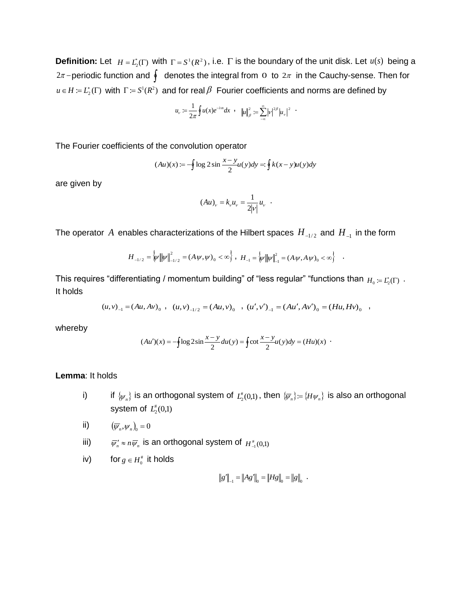**Definition:** Let  $H = L_2^*(\Gamma)$  with  $\Gamma = S^1(R^2)$ , i.e.  $\Gamma$  is the boundary of the unit disk. Let  $u(s)$  being a  $2\pi$  – periodic function and  $\oint$  denotes the integral from  $\,$  to  $\,2\pi\,$  in the Cauchy-sense. Then for  $u \in H \coloneqq L_2^*(\Gamma)$  with  $\Gamma := S^1(R^2)$  and for real  $\beta$  Fourier coefficients and norms are defined by

$$
u_{v} := \frac{1}{2\pi} \oint u(x) e^{-i\alpha x} dx \quad , \quad ||u||_{\beta}^{2} := \sum_{-\infty}^{\infty} |v|^{2\beta} |u_{v}|^{2} \quad .
$$

The Fourier coefficients of the convolution operator

$$
(Au)(x) := -\oint \log 2 \sin \frac{x - y}{2} u(y) dy =: \oint k(x - y) u(y) dy
$$

are given by

$$
(Au)_v = k_v u_v = \frac{1}{2|v|} u_v
$$

.

The operator  $A$  enables characterizations of the Hilbert spaces  $H_{\text{\_1/2}}$  and  $H_{\text{\_1}}$  in the form

$$
H_{-1/2} = \left\{ \psi \left\| \psi \right\|_{-1/2}^{2} = \left( A \psi, \psi \right)_{0} < \infty \right\}, \ H_{-1} = \left\{ \psi \left\| \psi \right\|_{-1}^{2} = \left( A \psi, A \psi \right)_{0} < \infty \right\} \quad .
$$

This requires "differentiating / momentum building" of "less regular" "functions than  $_{H_0}$ <sub>:=  $L^*_2(\Gamma)$   $\,$ </sub> It holds

$$
(u,v)_{-1} = (Au,Av)_0 , (u,v)_{-1/2} = (Au,v)_0 , (u',v')_{-1} = (Au',Av')_0 = (Hu,Hv)_0 ,
$$

whereby

$$
(Au')(x) = -\oint \log 2\sin \frac{x-y}{2} du(y) = \oint \cot \frac{x-y}{2} u(y) dy = (Hu)(x)
$$

#### **Lemma**: It holds

- i) if  $\{\psi_n\}$  is an orthogonal system of  $L_2^{\#}(0,1)$ , then  $\{\overline{\psi_n}\}=\{H\psi_n\}$  is also an orthogonal system of  $L^{\#}_2(0,1)$
- ii)  $(\overline{\psi}_n, \psi_n)_0 = 0$
- iii)  $\overline{\psi}_n' \approx n \overline{\psi}_n$  is an orthogonal system of  $H_{-1}^*(0,1)$

iv) for 
$$
g \in H_0^{\#}
$$
 it holds

$$
\|g'\|_{-1} = \|Ag'\|_{0} = \|Hg\|_{0} = \|g\|_{0}.
$$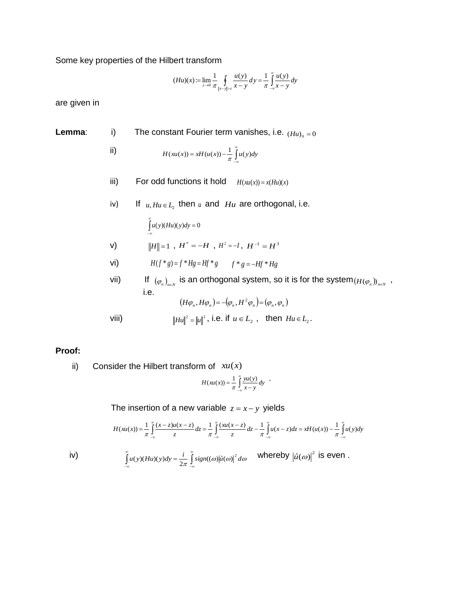Some key properties of the Hilbert transform

ii)

$$
(Hu)(x) := \lim_{\varepsilon \to 0} \frac{1}{\pi} \oint_{|x-y| > \varepsilon} \frac{u(y)}{x-y} dy = \frac{1}{\pi} \int_{-\infty}^{\infty} \frac{u(y)}{x-y} dy
$$

are given in

- **Lemma**: i) The constant Fourier term vanishes, i.e.  $(Hu)$ <sub>0</sub> = 0
	- $\mathring{\int}$  $-\infty$  $H(xu(x)) = xH(u(x)) - \frac{1}{\pi} \int_{0}^{\infty} u(y) dy$
	- iii) For odd functions it hold  $H(xu(x)) = x(Hu)(x)$
	- iv) If  $u, Hu \in L_2$  then  $u$  and  $Hu$  are orthogonal, i.e.

$$
\int_{-\infty} u(y)(Hu)(y)dy = 0
$$

 $\frac{8}{5}$ 

- $\|H\|=1$  ,  $H^*=-H$  ,  $H^2=-I$ ,  $H^{-1}=H^3$
- vi)  $H(f * g) = f * Hg = Hf * g$   $f * g = -Hf * Hg$
- vii) If  $(\varphi_n)_{n \in N}$  is an orthogonal system, so it is for the system  $(H(\varphi_n))_{n \in N}$  , i.e.  $(H\varphi_n, H\varphi_n) = -(\varphi_n, H^2\varphi_n) = (\varphi_n, \varphi_n)$

$$
\text{Viii)} \qquad \qquad \|Hu\|^2 = \|u\|^2 \text{, i.e. if } u \in L_2 \text{, then } Hu \in L_2.
$$

#### **Proof:**

ii) Consider the Hilbert transform of *xu*(*x*)

œ  $-\infty$ 

$$
H(xu(x)) = \frac{1}{\pi} \int_{-\infty}^{\infty} \frac{yu(y)}{x-y} dy
$$

The insertion of a new variable  $z = x - y$  yields

 $-\infty$ 

$$
H(xu(x)) = \frac{1}{\pi} \int_{-\infty}^{\infty} \frac{(x-z)u(x-z)}{z} dz = \frac{1}{\pi} \int_{-\infty}^{\infty} \frac{(xu(x-z))}{z} dz - \frac{1}{\pi} \int_{-\infty}^{\infty} u(x-z) dz = xH(u(x)) - \frac{1}{\pi} \int_{-\infty}^{\infty} u(y) dy
$$

 $u(y)(Hu)(y)dy = \frac{i}{2\pi} \int_{-\infty}^{\infty} sign((\omega)|\hat{u}(\omega)|^2 d\omega$  whereby  $|\hat{u}(\omega)|^2$ 

iv)  $\int u(y)(Hu)(y)dy = \frac{i}{2\pi} \int u(y)(Hu)(y)dy = \frac{i}{2\pi} \int u(u)|\hat{u}(u)|^2 d\omega$  whereby  $|\hat{u}(\omega)|^2$  is even.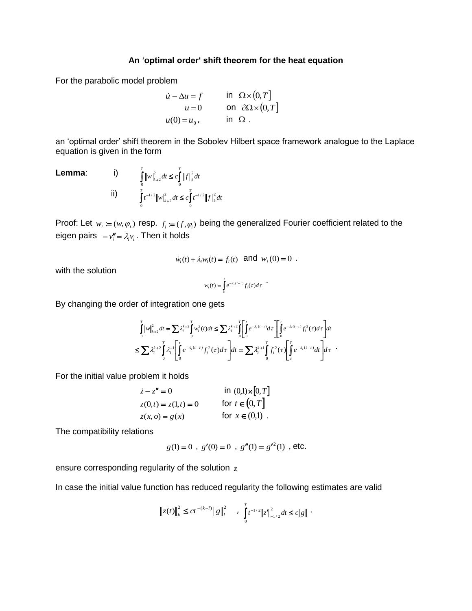## **An** '**optimal order' shift theorem for the heat equation**

For the parabolic model problem

$$
\begin{aligned}\n\dot{u} - \Delta u &= f & \text{in } \Omega \times (0, T] \\
u &= 0 & \text{on } \partial \Omega \times (0, T] \\
u(0) &= u_0, & \text{in } \Omega \n\end{aligned}
$$

an 'optimal order' shift theorem in the Sobolev Hilbert space framework analogue to the Laplace equation is given in the form

**Lemma:**  
\n(i)  
\n
$$
\int_{0}^{T} ||w||_{k+2}^{2} dt \leq c \int_{0}^{T} ||f||_{k}^{2} dt
$$
\n
$$
\int_{0}^{T} t^{-1/2} ||w||_{k+2}^{2} dt \leq c \int_{0}^{T} t^{-1/2} ||f||_{k}^{2} dt
$$

Proof: Let  $w_i := (w, \varphi_i)$  resp.  $f_i := (f, \varphi_i)$  being the generalized Fourier coefficient related to the eigen pairs  $-v''_i = \lambda_i v_i$ . Then it holds

$$
\dot{w}_i(t) + \lambda_i w_i(t) = f_i(t)
$$
 and  $w_i(0) = 0$ .

with the solution

$$
w_i(t) = \int_0^t e^{-\lambda_i(t-\tau)} f_i(\tau) d\tau
$$

By changing the order of integration one gets

$$
\begin{split} &\int\limits_0^T\big\|w\big\|_{k+2}^2dt=\sum\lambda_i^{k+2}\int\limits_0^Tw_i^2(t)dt\leq \sum\lambda_i^{k+2}\int\limits_0^T\bigg[\int\limits_0^te^{-\lambda_i(t-\tau)}d\tau\,\Bigg]\Bigg[\int\limits_0^te^{-\lambda_i(t-\tau)}f_i^2(\tau)d\tau\Bigg]dt\\ \leq \sum\lambda_i^{k+2}\int\limits_0^T\lambda_i^{-1}\Bigg[\int\limits_0^te^{-\lambda_i(t-\tau)}f_i^2(\tau)d\tau\,\Bigg]dt=\sum\lambda_i^{k+1}\int\limits_0^Tf_i^2(\tau)\Bigg[\int\limits_\tau^Te^{-\lambda_i(t-\tau)}dt\Bigg]d\tau\end{split}.
$$

For the initial value problem it holds

$$
\begin{aligned}\n\dot{z} - z'' &= 0 & \text{in } (0,1) \times [0, T] \\
z(0, t) &= z(1, t) = 0 & \text{for } t \in (0, T] \\
z(x, o) &= g(x) & \text{for } x \in (0, 1)\n\end{aligned}
$$

The compatibility relations

$$
g(1) = 0
$$
,  $g'(0) = 0$ ,  $g''(1) = g'^2(1)$ , etc.

ensure corresponding regularity of the solution *z*

In case the initial value function has reduced regularity the following estimates are valid

$$
\left\|z(t)\right\|_{k}^{2} \le ct^{-(k-l)}\left\|g\right\|_{l}^{2} \quad , \int\limits_{0}^{T} t^{-1/2}\left\|z'\right\|_{-1/2}^{2} dt \le c\left\|g\right\| \; .
$$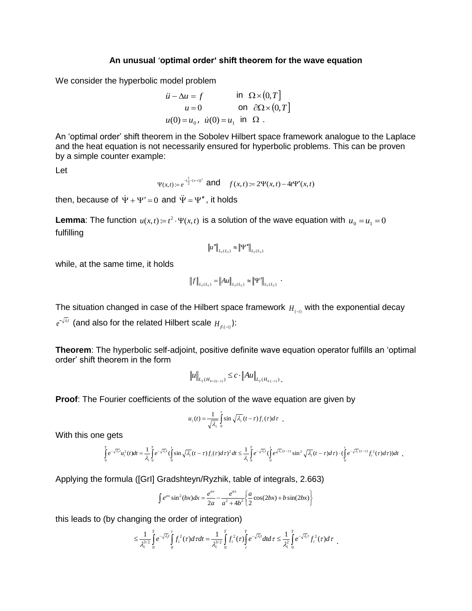#### **An unusual** '**optimal order' shift theorem for the wave equation**

We consider the hyperbolic model problem

$$
\begin{aligned}\n\ddot{u} - \Delta u &= f & \text{in } \Omega \times (0, T] \\
u &= 0 & \text{on } \partial \Omega \times (0, T] \\
u(0) &= u_0, \ \dot{u}(0) = u_1 & \text{in } \Omega \ .\n\end{aligned}
$$

An 'optimal order' shift theorem in the Sobolev Hilbert space framework analogue to the Laplace and the heat equation is not necessarily ensured for hyperbolic problems. This can be proven by a simple counter example:

Let

$$
\Psi(x,t) := e^{-\left(\frac{1}{2}-(x-t)\right)^2}
$$
 and  $f(x,t) := 2\Psi(x,t) - 4t\Psi'(x,t)$ 

then, because of  $\dot{\Psi} + \Psi' = 0$  and  $\ddot{\Psi} = \Psi''$ , it holds

**Lemma**: The function  $u(x,t) = t^2 \cdot \Psi(x,t)$  is a solution of the wave equation with  $u_0 = u_1 = 0$ fulfilling

$$
\|u''\|_{L_2(L_2)} \approx \left\|\Psi''\right\|_{L_2(L_2)}
$$

while, at the same time, it holds

$$
||f||_{L_2(L_2)} = ||Au||_{L_2(L_2)} \approx ||\Psi'||_{L_2(L_2)}.
$$

The situation changed in case of the Hilbert space framework  $H_{(n)}$  with the exponential decay

 $e^{-\lambda \lambda t}$  (and also for the related Hilbert scale  $H_{\beta,(-t)}$ ):

**Theorem**: The hyperbolic self-adjoint, positive definite wave equation operator fulfills an 'optimal order' shift theorem in the form

$$
\|u\|_{L_2(H_{k+2(-t)})} \leq c \cdot \|Au\|_{L_2(H_{k(-t)})}.
$$

**Proof**: The Fourier coefficients of the solution of the wave equation are given by

$$
u_i(t) = \frac{1}{\sqrt{\lambda_i}} \int_0^t \sin \sqrt{\lambda_i} (t-\tau) f_i(\tau) d\tau.
$$

With this one gets

$$
\int_{0}^{T} e^{-\sqrt{\lambda_{i}}t} u_{i}^{2}(t)dt = \frac{1}{\lambda_{i}} \int_{0}^{T} e^{-\sqrt{\lambda_{i}}t} \left(\int_{0}^{t} \sin \sqrt{\lambda_{i}}(t-\tau) f_{i}(\tau)d\tau\right)^{2} dt \leq \frac{1}{\lambda_{i}} \int_{0}^{T} e^{-\sqrt{\lambda_{i}}t} \left(\int_{0}^{t} e^{\sqrt{\lambda_{i}}(t-\tau)} \sin^{2} \sqrt{\lambda_{i}}(t-\tau)d\tau\right) \cdot \left(\int_{0}^{t} e^{-\sqrt{\lambda_{i}}(t-\tau)} f_{i}^{2}(\tau)d\tau\right) dt
$$

Applying the formula ([GrI] Gradshteyn/Ryzhik, table of integrals, 2.663) *a x a x*

$$
\int e^{ax} \sin^2(bx) dx = \frac{e^{ax}}{2a} - \frac{e^{ax}}{a^2 + 4b^2} \left\{ \frac{a}{2} \cos(2bx) + b \sin(2bx) \right\}
$$

this leads to (by changing the order of integration)

$$
\leq \frac{1}{\lambda_i^{3/2}} \int\limits_0^T e^{-\sqrt{\lambda_i}t} \int\limits_0^t f_i^2(\tau) d\tau dt = \frac{1}{\lambda_i^{3/2}} \int\limits_0^T f_i^2(\tau) \int\limits_\tau^T e^{-\sqrt{\lambda_i}t} dtd\tau \leq \frac{1}{\lambda_i^2} \int\limits_0^T e^{-\sqrt{\lambda_i} \tau} f_i^2(\tau) d\tau.
$$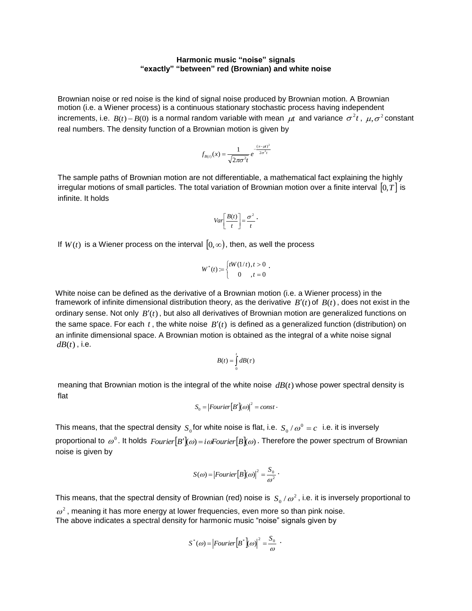#### **Harmonic music "noise" signals "exactly" "between" red (Brownian) and white noise**

Brownian noise or red noise is the kind of signal noise produced by Brownian motion. A Brownian motion (i.e. a Wiener process) is a continuous stationary stochastic process having independent increments, i.e.  $B(t) - B(0)$  is a normal random variable with mean  $\mu t$  and variance  $\sigma^2 t$ ,  $\mu, \sigma^2$  constant real numbers. The density function of a Brownian motion is given by

$$
f_{B(t)}(x) = \frac{1}{\sqrt{2\pi\sigma^2 t}} e^{-\frac{(x-\mu)^2}{2\sigma^2 t}}
$$

The sample paths of Brownian motion are not differentiable, a mathematical fact explaining the highly irregular motions of small particles. The total variation of Brownian motion over a finite interval  $[0,T]$  is infinite. It holds

$$
Var\left[\frac{B(t)}{t}\right] = \frac{\sigma^2}{t} \cdot
$$

If  $W(t)$  is a Wiener process on the interval  $[0,\infty),$  then, as well the process

$$
W^*(t) := \begin{cases} tW(1/t), & t > 0 \\ 0, & t = 0 \end{cases}.
$$

White noise can be defined as the derivative of a Brownian motion (i.e. a Wiener process) in the framework of infinite dimensional distribution theory, as the derivative  $B'(t)$  of  $B(t)$ , does not exist in the ordinary sense. Not only  $B'(t)$ , but also all derivatives of Brownian motion are generalized functions on the same space. For each  $t$ , the white noise  $B'(t)$  is defined as a generalized function (distribution) on an infinite dimensional space. A Brownian motion is obtained as the integral of a white noise signal  $dB(t)$ , i.e.

$$
B(t) = \int_{0}^{t} dB(\tau)
$$

meaning that Brownian motion is the integral of the white noise  $dB(t)$  whose power spectral density is flat

$$
S_0 = |Fourier[B'](\omega)|^2 = const.
$$

This means, that the spectral density  $S_0$  for white noise is flat, i.e.  $S_0/\omega^0 = c$  i.e. it is inversely proportional to  $\omega^0$  . It holds  $Fourier[B'|\omega) = i\omega Fourier[B|\omega)$  . Therefore the power spectrum of Brownian noise is given by

$$
S(\omega) = |Fourier[B](\omega)|^2 = \frac{S_0}{\omega^2}.
$$

This means, that the spectral density of Brownian (red) noise is  $|S_0/\omega^2|$ , i.e. it is inversely proportional to  $\omega^2$ , meaning it has more energy at lower frequencies, even more so than pink noise. The above indicates a spectral density for harmonic music "noise" signals given by

$$
S^*(\omega) = |Fourier[B^*](\omega)|^2 = \frac{S_0}{\omega} .
$$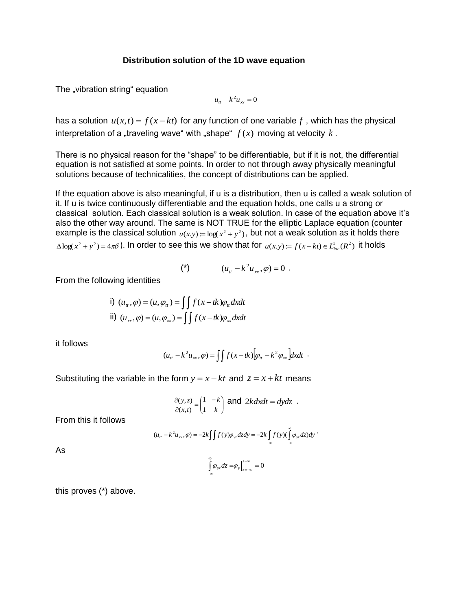### **Distribution solution of the 1D wave equation**

The "vibration string" equation

$$
u_{tt} - k^2 u_{xx} = 0
$$

has a solution  $u(x,t) = f(x - kt)$  for any function of one variable f, which has the physical interpretation of a "traveling wave" with "shape"  $f(x)$  moving at velocity  $k$  .

There is no physical reason for the "shape" to be differentiable, but if it is not, the differential equation is not satisfied at some points. In order to not through away physically meaningful solutions because of technicalities, the concept of distributions can be applied.

If the equation above is also meaningful, if u is a distribution, then u is called a weak solution of it. If u is twice continuously differentiable and the equation holds, one calls u a strong or classical solution. Each classical solution is a weak solution. In case of the equation above it's also the other way around. The same is NOT TRUE for the elliptic Laplace equation (counter example is the classical solution  $u(x,y) = log(x^2 + y^2)$ , but not a weak solution as it holds there  $\Delta \log(x^2 + y^2) = 4\pi\delta$ ). In order to see this we show that for  $u(x,y) := f(x-kt) \in L^1_{loc}(R^2)$  it holds

(\*) 
$$
(u_{tt} - k^2 u_{xx}, \varphi) = 0
$$
.

From the following identities

i) 
$$
(u_u, \varphi) = (u, \varphi_u) = \iint f(x - tk) \varphi_u dx dt
$$
  
\nii)  $(u_x, \varphi) = (u, \varphi_x) = \iint f(x - tk) \varphi_x dx dt$ 

it follows

$$
(utt - k2 uxx, \varphi) = \iint f(x - tk) \big[\varphi_{tt} - k2 \varphi_{xx}\big] dx dt.
$$

Substituting the variable in the form  $y = x - kt$  and  $z = x + kt$  means

$$
\frac{\partial(y,z)}{\partial(x,t)} = \begin{pmatrix} 1 & -k \\ 1 & k \end{pmatrix} \text{ and } 2kdxdt = dydz .
$$

From this it follows

$$
(u_{tt}-k^2u_{xx},\varphi)=-2k\iint f(y)\varphi_{yz}dzdy=-2k\iint_{-\infty}f(y)(\int_{-\infty}^{\infty}\varphi_{yz}dz)dy
$$

As

$$
\int\limits_{-\infty}^{\infty}\!\varphi_{yz}dz=\!\varphi_{y}\Big|_{z=-\infty}^{z=\infty}=0
$$

this proves (\*) above.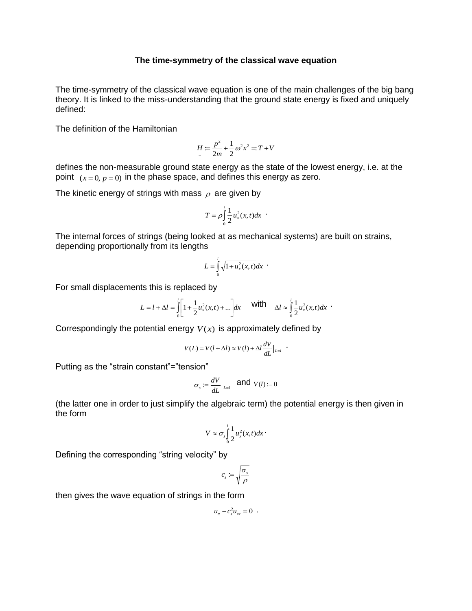#### **The time-symmetry of the classical wave equation**

The time-symmetry of the classical wave equation is one of the main challenges of the big bang theory. It is linked to the miss-understanding that the ground state energy is fixed and uniquely defined:

The definition of the Hamiltonian

$$
H := \frac{p^2}{2m} + \frac{1}{2}\omega^2 x^2 = T + V
$$

defines the non-measurable ground state energy as the state of the lowest energy, i.e. at the point  $(x=0, p=0)$  in the phase space, and defines this energy as zero.

The kinetic energy of strings with mass  $\rho$  are given by

$$
T=\rho\int_{0}^{l}\frac{1}{2}u_x^2(x,t)dx
$$

The internal forces of strings (being looked at as mechanical systems) are built on strains, depending proportionally from its lengths

$$
L = \int\limits_0^l \sqrt{1 + u_x^2(x, t)} dx
$$

For small displacements this is replaced by

$$
L = l + \Delta l = \int_0^l \left[ 1 + \frac{1}{2} u_x^2(x, t) + \dots \right] dx \quad \text{with} \quad \Delta l \approx \int_0^l \frac{1}{2} u_x^2(x, t) dx
$$

Correspondingly the potential energy  $V(x)$  is approximately defined by

$$
V(L) = V(l + \Delta l) \approx V(l) + \Delta l \frac{dV}{dL}\Big|_{L=l} .
$$

Putting as the "strain constant"="tension"

$$
\sigma_s := \frac{dV}{dL}\Big|_{L=l} \quad \text{and} \ \ V(l) := 0
$$

(the latter one in order to just simplify the algebraic term) the potential energy is then given in the form

$$
V \approx \sigma_s \int_0^l \frac{1}{2} u_x^2(x,t) dx
$$

Defining the corresponding "string velocity" by

$$
c_s\coloneqq\sqrt{\frac{\sigma_s}{\rho}}
$$

then gives the wave equation of strings in the form

$$
u_{tt}-c_s^2u_{xx}=0
$$
.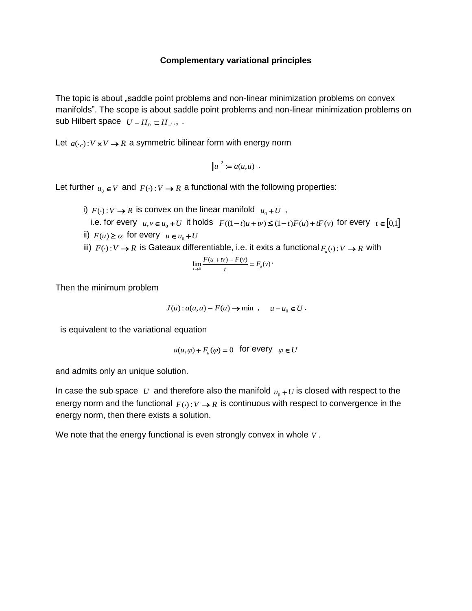#### **Complementary variational principles**

The topic is about "saddle point problems and non-linear minimization problems on convex manifolds". The scope is about saddle point problems and non-linear minimization problems on sub Hilbert space  $U = H_0 \subset H_{-1/2}$ .

Let  $a(\cdot, \cdot): V \times V \rightarrow R$  a symmetric bilinear form with energy norm

$$
\|u\|^2 := a(u,u) .
$$

Let further  $u_0 \in V$  and  $F(\cdot): V \to R$  a functional with the following properties:

i)  $F(\cdot): V \to R$  is convex on the linear manifold  $u_0 + U$ , i.e. for every  $u, v \in u_0 + U$  it holds  $F((1-t)u + tv) \le (1-t)F(u) + tF(v)$  for every  $t \in [0,1]$ ii)  $F(u) \ge \alpha$  for every  $u \in u_0 + U$ iii)  $F(\cdot): V \to R$  is Gateaux differentiable, i.e. it exits a functional  $F_u(\cdot): V \to R$  with

.

$$
\lim_{t \to 0} \frac{F(u + tv) - F(v)}{t} = F_u(v)
$$

Then the minimum problem

$$
J(u): a(u, u) - F(u) \to \min , \quad u - u_0 \in U.
$$

is equivalent to the variational equation

$$
a(u, \varphi) + F_u(\varphi) = 0 \quad \text{for every} \quad \varphi \in U
$$

and admits only an unique solution.

In case the sub space  $U$  and therefore also the manifold  $u_0 + U$  is closed with respect to the energy norm and the functional  $F(\cdot): V \to R$  is continuous with respect to convergence in the energy norm, then there exists a solution.

We note that the energy functional is even strongly convex in whole *V* .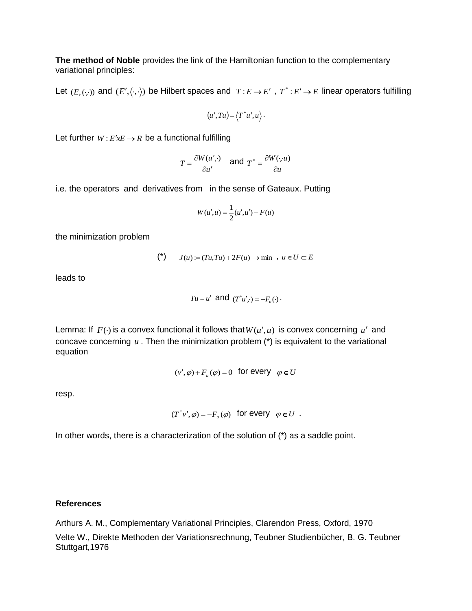**The method of Noble** provides the link of the Hamiltonian function to the complementary variational principles:

Let  $(E, (\cdot, \cdot))$  and  $(E', \langle \cdot, \cdot \rangle)$  be Hilbert spaces and  $T : E \to E'$ ,  $T^* : E' \to E$  linear operators fulfilling

$$
(u',Tu) = \langle T^*u',u \rangle.
$$

Let further  $W: E'xE \to R$  be a functional fulfilling

$$
T = \frac{\partial W(u',\cdot)}{\partial u'} \quad \text{and} \ \ T^* = \frac{\partial W(\cdot,u)}{\partial u}
$$

i.e. the operators and derivatives from in the sense of Gateaux. Putting

$$
W(u', u) = \frac{1}{2}(u', u') - F(u)
$$

the minimization problem

$$
(*) \t J(u) := (Tu, Tu) + 2F(u) \to \min , u \in U \subset E
$$

leads to

$$
Tu = u' \text{ and } (T^*u', \cdot) = -F_u(\cdot) \, .
$$

Lemma: If  $F(\cdot)$  is a convex functional it follows that  $W(u', u)$  is convex concerning u' and concave concerning  $u$ . Then the minimization problem  $(*)$  is equivalent to the variational equation

$$
(v', \varphi) + F_u(\varphi) = 0
$$
 for every  $\varphi \in U$ 

resp.

$$
(T^*v',\varphi) = -F_u(\varphi) \text{ for every } \varphi \in U .
$$

In other words, there is a characterization of the solution of (\*) as a saddle point.

#### **References**

Arthurs A. M., Complementary Variational Principles, Clarendon Press, Oxford, 1970

Velte W., Direkte Methoden der Variationsrechnung, Teubner Studienbücher, B. G. Teubner Stuttgart,1976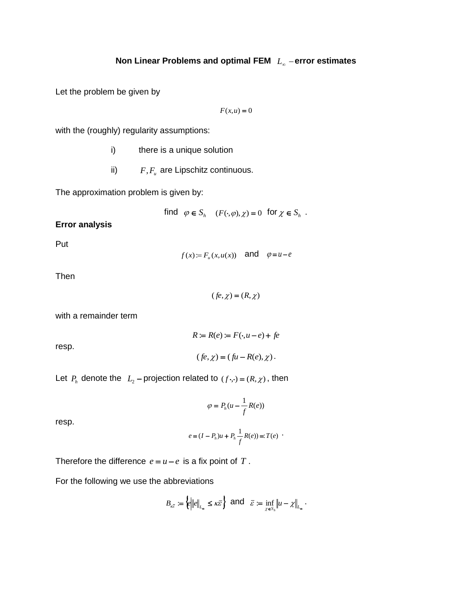Let the problem be given by

$$
F(x, u) = 0
$$

with the (roughly) regularity assumptions:

- i) there is a unique solution
- ii)  $F, F_u$  are Lipschitz continuous.

The approximation problem is given by:

find 
$$
\varphi \in S_h
$$
  $(F(\cdot, \varphi), \chi) = 0$  for  $\chi \in S_h$ .

## **Error analysis**

Put

 $f(x) := F_u(x, u(x))$  and  $\varphi = u - e$ 

Then

 $($ fe, $\chi$  $)$  =  $(R,\chi)$ 

 $R := R(e) := F(\cdot, u - e) + fe$ 

 $(fe, \chi) = (fu - R(e), \chi).$ 

with a remainder term

resp.

Let 
$$
P_h
$$
 denote the  $L_2$  -projection related to  $(f \cdot, \cdot) = (R, \chi)$ , then

$$
\varphi = P_h(u - \frac{1}{f}R(e))
$$

resp.

$$
e = (I - P_h)u + P_h \frac{1}{f}R(e) =: T(e)
$$

Therefore the difference  $e = u - e$  is a fix point of T.

For the following we use the abbreviations

$$
B_{\kappa \overline{\varepsilon}}:=\left\{\left\|\left|e\right|\right|_{L_\infty}\leq \kappa \overline{\varepsilon}\right\}\text{ and }\ \overline{\varepsilon}:=\inf_{\chi\in S_h}\left\|u-\chi\right\|_{L_\infty}.
$$